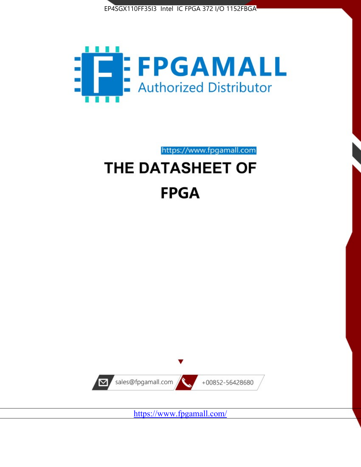



https://www.fpgamall.com

# THE DATASHEET OF **FPGA**



<https://www.fpgamall.com/>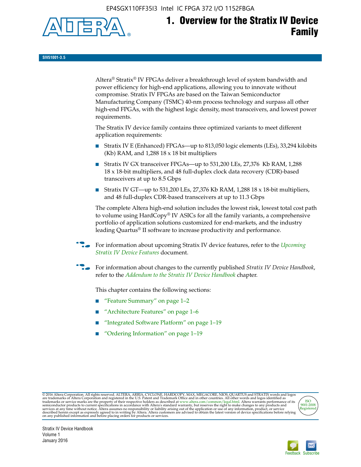EP4SGX110FF35I3 Intel IC FPGA 372 I/O 1152FBGA



# **1. Overview for the Stratix IV Device Family**

**SIV51001-3.5**

Altera® Stratix® IV FPGAs deliver a breakthrough level of system bandwidth and power efficiency for high-end applications, allowing you to innovate without compromise. Stratix IV FPGAs are based on the Taiwan Semiconductor Manufacturing Company (TSMC) 40-nm process technology and surpass all other high-end FPGAs, with the highest logic density, most transceivers, and lowest power requirements.

The Stratix IV device family contains three optimized variants to meet different application requirements:

- Stratix IV E (Enhanced) FPGAs—up to 813,050 logic elements (LEs), 33,294 kilobits (Kb) RAM, and 1,288 18 x 18 bit multipliers
- Stratix IV GX transceiver FPGAs—up to 531,200 LEs, 27,376 Kb RAM, 1,288 18 x 18-bit multipliers, and 48 full-duplex clock data recovery (CDR)-based transceivers at up to 8.5 Gbps
- Stratix IV GT—up to 531,200 LEs, 27,376 Kb RAM, 1,288 18 x 18-bit multipliers, and 48 full-duplex CDR-based transceivers at up to 11.3 Gbps

The complete Altera high-end solution includes the lowest risk, lowest total cost path to volume using HardCopy® IV ASICs for all the family variants, a comprehensive portfolio of application solutions customized for end-markets, and the industry leading Quartus® II software to increase productivity and performance.

f For information about upcoming Stratix IV device features, refer to the *[Upcoming](http://www.altera.com/literature/hb/stratix-iv/uf01001.pdf?GSA_pos=2&WT.oss_r=1&WT.oss=upcoming)  [Stratix IV Device Features](http://www.altera.com/literature/hb/stratix-iv/uf01001.pdf?GSA_pos=2&WT.oss_r=1&WT.oss=upcoming)* document.

f For information about changes to the currently published *Stratix IV Device Handbook*, refer to the *[Addendum to the Stratix IV Device Handbook](http://www.altera.com/literature/hb/stratix-iv/stx4_siv54002.pdf)* chapter.

This chapter contains the following sections:

- "Feature Summary" on page 1–2
- "Architecture Features" on page 1–6
- "Integrated Software Platform" on page 1–19
- "Ordering Information" on page 1–19

@2016 Altera Corporation. All rights reserved. ALTERA, ARRIA, CYCLONE, HARDCOPY, MAX, MEGACORE, NIOS, QUARTUS and STRATIX words and logos are trademarks of Altera Corporation and registered in the U.S. Patent and Trademark



Stratix IV Device Handbook Volume 1 January 2016

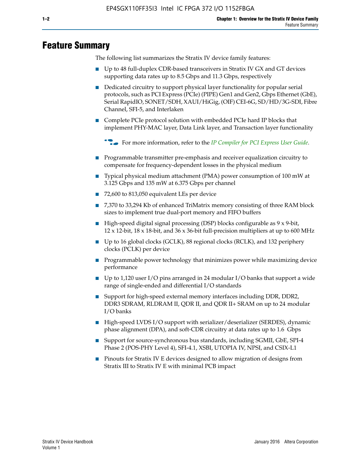# **Feature Summary**

The following list summarizes the Stratix IV device family features:

- Up to 48 full-duplex CDR-based transceivers in Stratix IV GX and GT devices supporting data rates up to 8.5 Gbps and 11.3 Gbps, respectively
- Dedicated circuitry to support physical layer functionality for popular serial protocols, such as PCI Express (PCIe) (PIPE) Gen1 and Gen2, Gbps Ethernet (GbE), Serial RapidIO, SONET/SDH, XAUI/HiGig, (OIF) CEI-6G, SD/HD/3G-SDI, Fibre Channel, SFI-5, and Interlaken
- Complete PCIe protocol solution with embedded PCIe hard IP blocks that implement PHY-MAC layer, Data Link layer, and Transaction layer functionality

**For more information, refer to the** *[IP Compiler for PCI Express User Guide](http://www.altera.com/literature/ug/ug_pci_express.pdf)***.** 

- Programmable transmitter pre-emphasis and receiver equalization circuitry to compensate for frequency-dependent losses in the physical medium
- Typical physical medium attachment (PMA) power consumption of 100 mW at 3.125 Gbps and 135 mW at 6.375 Gbps per channel
- 72,600 to 813,050 equivalent LEs per device
- 7,370 to 33,294 Kb of enhanced TriMatrix memory consisting of three RAM block sizes to implement true dual-port memory and FIFO buffers
- High-speed digital signal processing (DSP) blocks configurable as 9 x 9-bit,  $12 \times 12$ -bit,  $18 \times 18$ -bit, and  $36 \times 36$ -bit full-precision multipliers at up to 600 MHz
- Up to 16 global clocks (GCLK), 88 regional clocks (RCLK), and 132 periphery clocks (PCLK) per device
- Programmable power technology that minimizes power while maximizing device performance
- Up to 1,120 user I/O pins arranged in 24 modular I/O banks that support a wide range of single-ended and differential I/O standards
- Support for high-speed external memory interfaces including DDR, DDR2, DDR3 SDRAM, RLDRAM II, QDR II, and QDR II+ SRAM on up to 24 modular I/O banks
- High-speed LVDS I/O support with serializer/deserializer (SERDES), dynamic phase alignment (DPA), and soft-CDR circuitry at data rates up to 1.6 Gbps
- Support for source-synchronous bus standards, including SGMII, GbE, SPI-4 Phase 2 (POS-PHY Level 4), SFI-4.1, XSBI, UTOPIA IV, NPSI, and CSIX-L1
- Pinouts for Stratix IV E devices designed to allow migration of designs from Stratix III to Stratix IV E with minimal PCB impact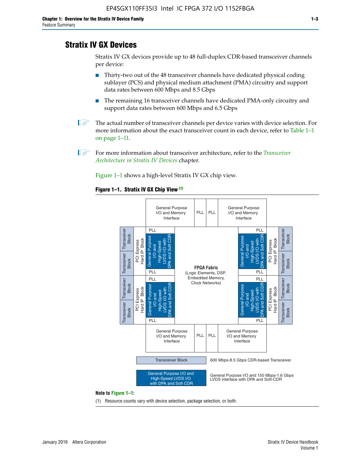# **Stratix IV GX Devices**

Stratix IV GX devices provide up to 48 full-duplex CDR-based transceiver channels per device:

- Thirty-two out of the 48 transceiver channels have dedicated physical coding sublayer (PCS) and physical medium attachment (PMA) circuitry and support data rates between 600 Mbps and 8.5 Gbps
- The remaining 16 transceiver channels have dedicated PMA-only circuitry and support data rates between 600 Mbps and 6.5 Gbps
- **1 The actual number of transceiver channels per device varies with device selection. For** more information about the exact transceiver count in each device, refer to Table 1–1 on page 1–11.
- 1 For more information about transceiver architecture, refer to the *[Transceiver](http://www.altera.com/literature/hb/stratix-iv/stx4_siv52001.pdf)  [Architecture in Stratix IV Devices](http://www.altera.com/literature/hb/stratix-iv/stx4_siv52001.pdf)* chapter.

Figure 1–1 shows a high-level Stratix IV GX chip view.

#### **Figure 1–1. Stratix IV GX Chip View** *(1)*



#### **Note to Figure 1–1:**

(1) Resource counts vary with device selection, package selection, or both.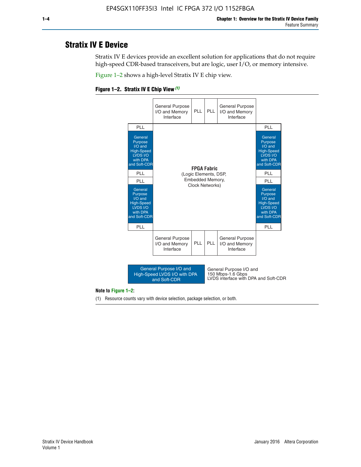# **Stratix IV E Device**

Stratix IV E devices provide an excellent solution for applications that do not require high-speed CDR-based transceivers, but are logic, user I/O, or memory intensive.

Figure 1–2 shows a high-level Stratix IV E chip view.

#### **Figure 1–2. Stratix IV E Chip View** *(1)*



#### **Note to Figure 1–2:**

(1) Resource counts vary with device selection, package selection, or both.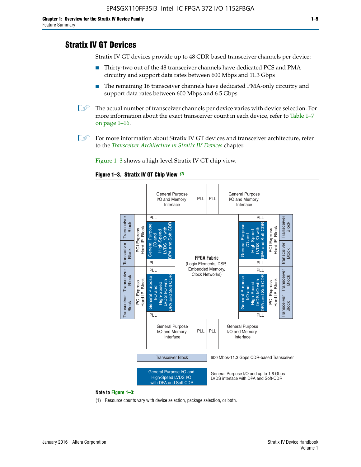# **Stratix IV GT Devices**

Stratix IV GT devices provide up to 48 CDR-based transceiver channels per device:

- Thirty-two out of the 48 transceiver channels have dedicated PCS and PMA circuitry and support data rates between 600 Mbps and 11.3 Gbps
- The remaining 16 transceiver channels have dedicated PMA-only circuitry and support data rates between 600 Mbps and 6.5 Gbps
- **1** The actual number of transceiver channels per device varies with device selection. For more information about the exact transceiver count in each device, refer to Table 1–7 on page 1–16.
- $\mathbb{I}$  For more information about Stratix IV GT devices and transceiver architecture, refer to the *[Transceiver Architecture in Stratix IV Devices](http://www.altera.com/literature/hb/stratix-iv/stx4_siv52001.pdf)* chapter.

Figure 1–3 shows a high-level Stratix IV GT chip view.

#### **Figure 1–3. Stratix IV GT Chip View** *(1)*



#### **Note to Figure 1–3:**

(1) Resource counts vary with device selection, package selection, or both.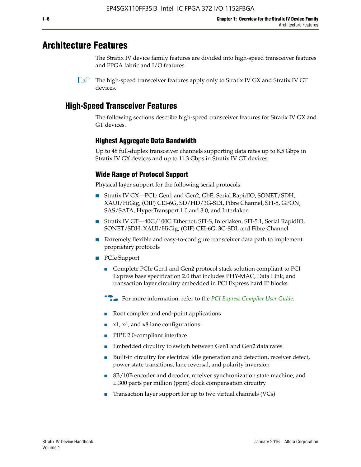# **Architecture Features**

The Stratix IV device family features are divided into high-speed transceiver features and FPGA fabric and I/O features.

 $\mathbb{I}$  The high-speed transceiver features apply only to Stratix IV GX and Stratix IV GT devices.

# **High-Speed Transceiver Features**

The following sections describe high-speed transceiver features for Stratix IV GX and GT devices.

## **Highest Aggregate Data Bandwidth**

Up to 48 full-duplex transceiver channels supporting data rates up to 8.5 Gbps in Stratix IV GX devices and up to 11.3 Gbps in Stratix IV GT devices.

# **Wide Range of Protocol Support**

Physical layer support for the following serial protocols:

- Stratix IV GX—PCIe Gen1 and Gen2, GbE, Serial RapidIO, SONET/SDH, XAUI/HiGig, (OIF) CEI-6G, SD/HD/3G-SDI, Fibre Channel, SFI-5, GPON, SAS/SATA, HyperTransport 1.0 and 3.0, and Interlaken
- Stratix IV GT—40G/100G Ethernet, SFI-S, Interlaken, SFI-5.1, Serial RapidIO, SONET/SDH, XAUI/HiGig, (OIF) CEI-6G, 3G-SDI, and Fibre Channel
- Extremely flexible and easy-to-configure transceiver data path to implement proprietary protocols
- PCIe Support
	- Complete PCIe Gen1 and Gen2 protocol stack solution compliant to PCI Express base specification 2.0 that includes PHY-MAC, Data Link, and transaction layer circuitry embedded in PCI Express hard IP blocks
	- **For more information, refer to the [PCI Express Compiler User Guide](http://www.altera.com/literature/ug/ug_pci_express.pdf).**
	- Root complex and end-point applications
	- $x1, x4,$  and  $x8$  lane configurations
	- PIPE 2.0-compliant interface
	- Embedded circuitry to switch between Gen1 and Gen2 data rates
	- Built-in circuitry for electrical idle generation and detection, receiver detect, power state transitions, lane reversal, and polarity inversion
	- 8B/10B encoder and decoder, receiver synchronization state machine, and ± 300 parts per million (ppm) clock compensation circuitry
	- Transaction layer support for up to two virtual channels (VCs)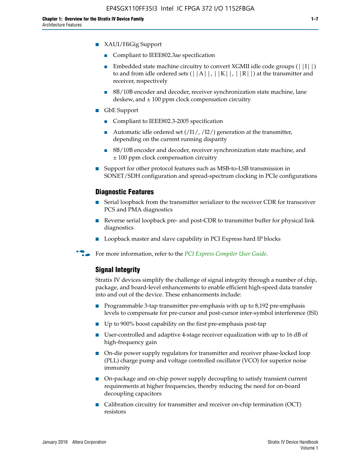- Compliant to IEEE802.3ae specification
- **■** Embedded state machine circuitry to convert XGMII idle code groups  $(|11|)$ to and from idle ordered sets  $(|A|, |K|, |R|)$  at the transmitter and receiver, respectively
- 8B/10B encoder and decoder, receiver synchronization state machine, lane deskew, and  $\pm 100$  ppm clock compensation circuitry
- GbE Support
	- Compliant to IEEE802.3-2005 specification
	- Automatic idle ordered set  $(111/112/1)$  generation at the transmitter, depending on the current running disparity
	- 8B/10B encoder and decoder, receiver synchronization state machine, and ± 100 ppm clock compensation circuitry
- Support for other protocol features such as MSB-to-LSB transmission in SONET/SDH configuration and spread-spectrum clocking in PCIe configurations

## **Diagnostic Features**

- Serial loopback from the transmitter serializer to the receiver CDR for transceiver PCS and PMA diagnostics
- Reverse serial loopback pre- and post-CDR to transmitter buffer for physical link diagnostics
- Loopback master and slave capability in PCI Express hard IP blocks
- **For more information, refer to the** *[PCI Express Compiler User Guide](http://www.altera.com/literature/ug/ug_pci_express.pdf)***.**

## **Signal Integrity**

Stratix IV devices simplify the challenge of signal integrity through a number of chip, package, and board-level enhancements to enable efficient high-speed data transfer into and out of the device. These enhancements include:

- Programmable 3-tap transmitter pre-emphasis with up to 8,192 pre-emphasis levels to compensate for pre-cursor and post-cursor inter-symbol interference (ISI)
- Up to 900% boost capability on the first pre-emphasis post-tap
- User-controlled and adaptive 4-stage receiver equalization with up to 16 dB of high-frequency gain
- On-die power supply regulators for transmitter and receiver phase-locked loop (PLL) charge pump and voltage controlled oscillator (VCO) for superior noise immunity
- On-package and on-chip power supply decoupling to satisfy transient current requirements at higher frequencies, thereby reducing the need for on-board decoupling capacitors
- Calibration circuitry for transmitter and receiver on-chip termination (OCT) resistors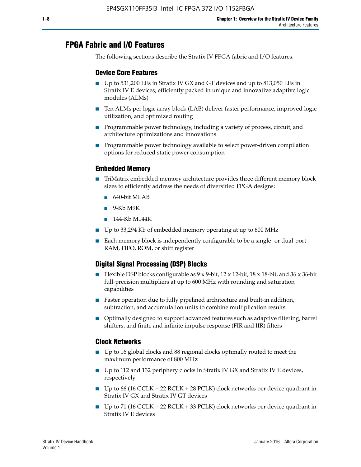# **FPGA Fabric and I/O Features**

The following sections describe the Stratix IV FPGA fabric and I/O features.

## **Device Core Features**

- Up to 531,200 LEs in Stratix IV GX and GT devices and up to 813,050 LEs in Stratix IV E devices, efficiently packed in unique and innovative adaptive logic modules (ALMs)
- Ten ALMs per logic array block (LAB) deliver faster performance, improved logic utilization, and optimized routing
- Programmable power technology, including a variety of process, circuit, and architecture optimizations and innovations
- Programmable power technology available to select power-driven compilation options for reduced static power consumption

## **Embedded Memory**

- TriMatrix embedded memory architecture provides three different memory block sizes to efficiently address the needs of diversified FPGA designs:
	- 640-bit MLAB
	- 9-Kb M9K
	- 144-Kb M144K
- Up to 33,294 Kb of embedded memory operating at up to 600 MHz
- Each memory block is independently configurable to be a single- or dual-port RAM, FIFO, ROM, or shift register

# **Digital Signal Processing (DSP) Blocks**

- Flexible DSP blocks configurable as  $9 \times 9$ -bit,  $12 \times 12$ -bit,  $18 \times 18$ -bit, and  $36 \times 36$ -bit full-precision multipliers at up to 600 MHz with rounding and saturation capabilities
- Faster operation due to fully pipelined architecture and built-in addition, subtraction, and accumulation units to combine multiplication results
- Optimally designed to support advanced features such as adaptive filtering, barrel shifters, and finite and infinite impulse response (FIR and IIR) filters

#### **Clock Networks**

- Up to 16 global clocks and 88 regional clocks optimally routed to meet the maximum performance of 800 MHz
- Up to 112 and 132 periphery clocks in Stratix IV GX and Stratix IV E devices, respectively
- Up to 66 (16 GCLK + 22 RCLK + 28 PCLK) clock networks per device quadrant in Stratix IV GX and Stratix IV GT devices
- Up to 71 (16 GCLK + 22 RCLK + 33 PCLK) clock networks per device quadrant in Stratix IV E devices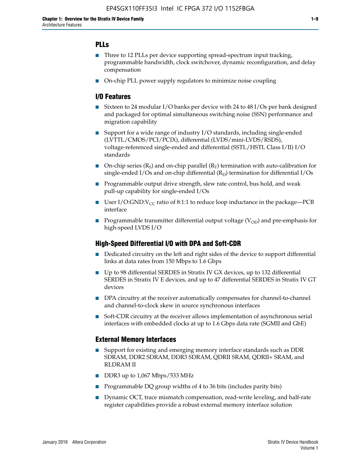## **PLLs**

- Three to 12 PLLs per device supporting spread-spectrum input tracking, programmable bandwidth, clock switchover, dynamic reconfiguration, and delay compensation
- On-chip PLL power supply regulators to minimize noise coupling

## **I/O Features**

- Sixteen to 24 modular I/O banks per device with 24 to 48 I/Os per bank designed and packaged for optimal simultaneous switching noise (SSN) performance and migration capability
- Support for a wide range of industry I/O standards, including single-ended (LVTTL/CMOS/PCI/PCIX), differential (LVDS/mini-LVDS/RSDS), voltage-referenced single-ended and differential (SSTL/HSTL Class I/II) I/O standards
- **O**n-chip series  $(R_S)$  and on-chip parallel  $(R_T)$  termination with auto-calibration for single-ended I/Os and on-chip differential  $(R_D)$  termination for differential I/Os
- Programmable output drive strength, slew rate control, bus hold, and weak pull-up capability for single-ended I/Os
- User I/O:GND: $V_{CC}$  ratio of 8:1:1 to reduce loop inductance in the package—PCB interface
- **■** Programmable transmitter differential output voltage ( $V_{OD}$ ) and pre-emphasis for high-speed LVDS I/O

#### **High-Speed Differential I/O with DPA and Soft-CDR**

- Dedicated circuitry on the left and right sides of the device to support differential links at data rates from 150 Mbps to 1.6 Gbps
- Up to 98 differential SERDES in Stratix IV GX devices, up to 132 differential SERDES in Stratix IV E devices, and up to 47 differential SERDES in Stratix IV GT devices
- DPA circuitry at the receiver automatically compensates for channel-to-channel and channel-to-clock skew in source synchronous interfaces
- Soft-CDR circuitry at the receiver allows implementation of asynchronous serial interfaces with embedded clocks at up to 1.6 Gbps data rate (SGMII and GbE)

#### **External Memory Interfaces**

- Support for existing and emerging memory interface standards such as DDR SDRAM, DDR2 SDRAM, DDR3 SDRAM, QDRII SRAM, QDRII+ SRAM, and RLDRAM II
- DDR3 up to 1,067 Mbps/533 MHz
- Programmable DQ group widths of 4 to 36 bits (includes parity bits)
- Dynamic OCT, trace mismatch compensation, read-write leveling, and half-rate register capabilities provide a robust external memory interface solution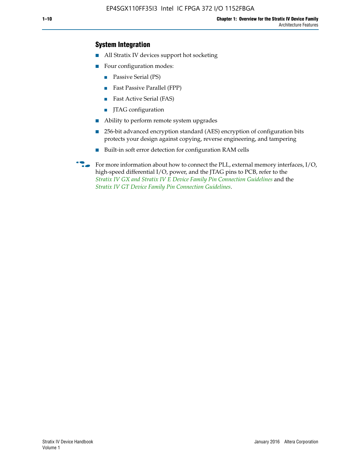## **System Integration**

- All Stratix IV devices support hot socketing
- Four configuration modes:
	- Passive Serial (PS)
	- Fast Passive Parallel (FPP)
	- Fast Active Serial (FAS)
	- JTAG configuration
- Ability to perform remote system upgrades
- 256-bit advanced encryption standard (AES) encryption of configuration bits protects your design against copying, reverse engineering, and tampering
- Built-in soft error detection for configuration RAM cells
- For more information about how to connect the PLL, external memory interfaces,  $I/O$ , high-speed differential I/O, power, and the JTAG pins to PCB, refer to the *[Stratix IV GX and Stratix IV E Device Family Pin Connection Guidelines](http://www.altera.com/literature/dp/stratix4/PCG-01005.pdf)* and the *[Stratix IV GT Device Family Pin Connection Guidelines](http://www.altera.com/literature/dp/stratix4/PCG-01006.pdf)*.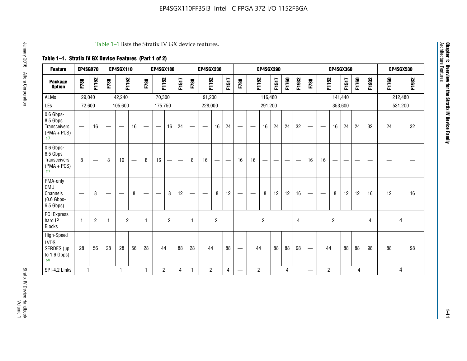#### Table 1–1 lists the Stratix IV GX device features.

# **Table 1–1. Stratix IV GX Device Features (Part 1 of 2)**

| <b>Feature</b>                                                 | EP4SGX70                 |                |                                  | <b>EP4SGX110</b>  |    |                                | <b>EP4SGX180</b>               |                |       |              | <b>EP4SGX230</b>         |                |       |                                 |                | <b>EP4SGX290</b> |       |       |                |                                 |                   | <b>EP4SGX360</b> |         |       |       |         | <b>EP4SGX530</b> |
|----------------------------------------------------------------|--------------------------|----------------|----------------------------------|-------------------|----|--------------------------------|--------------------------------|----------------|-------|--------------|--------------------------|----------------|-------|---------------------------------|----------------|------------------|-------|-------|----------------|---------------------------------|-------------------|------------------|---------|-------|-------|---------|------------------|
| <b>Package</b><br><b>Option</b>                                | F780                     | F1152          | F780                             | F1152             |    | F780                           | F1152                          |                | F1517 | F780         | F1152                    |                | F1517 | F780                            | F1152          |                  | F1517 | F1760 | F1932          | F780                            | F1152             |                  | F1517   | F1760 | F1932 | F1760   | F1932            |
| <b>ALMs</b>                                                    | 29,040                   |                |                                  | 42,240            |    |                                | 70,300                         |                |       |              | 91,200                   |                |       |                                 |                | 116,480          |       |       |                |                                 |                   |                  | 141,440 |       |       | 212,480 |                  |
| LEs                                                            | 72,600                   |                |                                  | 105,600           |    |                                | 175,750                        |                |       |              | 228,000                  |                |       |                                 |                | 291,200          |       |       |                |                                 |                   |                  | 353,600 |       |       |         | 531,200          |
| 0.6 Gbps-<br>8.5 Gbps<br>Transceivers<br>$(PMA + PCs)$<br>(1)  | $\overline{\phantom{0}}$ | 16             | $\hspace{0.05cm}$                | $\hspace{0.05cm}$ | 16 | $\qquad \qquad \longleftarrow$ | $\hspace{0.05cm}$              | 16             | 24    |              | $\overline{\phantom{a}}$ | 16             | 24    | —                               |                | 16               | 24    | 24    | 32             | $\overline{\phantom{0}}$        | $\hspace{0.05cm}$ | 16               | 24      | 24    | 32    | 24      | 32               |
| 0.6 Gbps-<br>6.5 Gbps<br>Transceivers<br>$(PMA + PCs)$<br>(1)  | 8                        |                | 8                                | 16                |    | 8                              | 16                             | ÷              |       | 8            | 16                       | —              |       | 16                              | 16             |                  |       |       |                | 16                              | 16                |                  |         |       |       |         |                  |
| PMA-only<br>CMU<br>Channels<br>$(0.6$ Gbps-<br>6.5 Gbps)       | $\overline{\phantom{0}}$ | 8              | $\overbrace{\phantom{12322111}}$ |                   | 8  | $\qquad \qquad \longleftarrow$ | $\qquad \qquad \longleftarrow$ | 8              | 12    |              |                          | 8              | 12    | $\hspace{0.1mm}-\hspace{0.1mm}$ |                | 8                | 12    | 12    | 16             | $\overline{\phantom{0}}$        | $\hspace{0.05cm}$ | 8                | 12      | 12    | 16    | 12      | 16               |
| PCI Express<br>hard IP<br><b>Blocks</b>                        | $\mathbf{1}$             | $\overline{2}$ | $\mathbf 1$                      | $\overline{2}$    |    | $\mathbf{1}$                   |                                | $\overline{2}$ |       | $\mathbf{1}$ |                          | $\overline{c}$ |       |                                 |                | $\overline{c}$   |       |       | $\overline{4}$ |                                 |                   | $\overline{2}$   |         |       | 4     |         | 4                |
| High-Speed<br><b>LVDS</b><br>SERDES (up<br>to 1.6 Gbps)<br>(4) | 28                       | 56             | 28                               | 28                | 56 | 28                             | 44                             |                | 88    | 28           | 44                       |                | 88    | —                               | 44             |                  | 88    | 88    | 98             | $\hspace{0.1mm}-\hspace{0.1mm}$ | 44                |                  | 88      | 88    | 98    | 88      | 98               |
| SPI-4.2 Links                                                  | $\mathbf{1}$             |                |                                  | 1                 |    | $\mathbf{1}$                   | $\overline{c}$                 |                | 4     | 1            | $\overline{c}$           |                | 4     | —                               | $\overline{2}$ |                  |       | 4     |                | $\overline{\phantom{0}}$        | $\overline{2}$    |                  |         | 4     |       |         | 4                |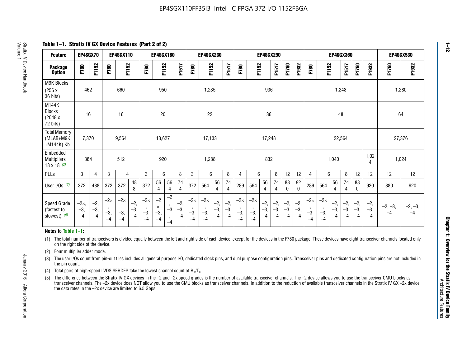**Table 1–1. Stratix IV GX Device Features (Part 2 of 2)**

| <b>Feature</b>                                       | EP4SGX70                |                        |                             | <b>EP4SGX110</b>            |                      |                             | <b>EP4SGX180</b>          |                      |                        |                             | <b>EP4SGX230</b>            |                      |                        |                             |                             | <b>EP4SGX290</b>       |                      |                        |                      | <b>EP4SGX360</b>            |                             |                        | <b>EP4SGX530</b>       |                        |                        |                   |                   |
|------------------------------------------------------|-------------------------|------------------------|-----------------------------|-----------------------------|----------------------|-----------------------------|---------------------------|----------------------|------------------------|-----------------------------|-----------------------------|----------------------|------------------------|-----------------------------|-----------------------------|------------------------|----------------------|------------------------|----------------------|-----------------------------|-----------------------------|------------------------|------------------------|------------------------|------------------------|-------------------|-------------------|
| <b>Package</b><br><b>Option</b>                      | F780                    | F1152                  | F780                        | F1152                       |                      | F780                        | F1152                     |                      | F1517                  | F780                        | F1152                       |                      | F1517                  | F780                        | F1152                       |                        | F1517                | F1760                  | F1932                | F780                        | F1152                       |                        | F1517                  | F1760                  | F1932                  | F1760             | F1932             |
| M9K Blocks<br>(256x)<br>36 bits)                     | 462                     |                        |                             | 660                         |                      |                             | 950                       |                      |                        |                             | 1,235                       |                      |                        |                             |                             | 936                    |                      |                        |                      |                             |                             | 1,248                  |                        |                        |                        | 1,280             |                   |
| M144K<br>Blocks<br>(2048 x<br>72 bits)               | 16                      |                        |                             | 16                          |                      |                             | 20                        |                      |                        |                             | 22                          |                      |                        |                             |                             | 36                     |                      |                        |                      |                             |                             | 48                     |                        |                        |                        | 64                |                   |
| <b>Total Memory</b><br>(MLAB+M9K<br>+M144K) Kb       | 7,370                   |                        |                             | 9,564                       |                      |                             | 13,627                    |                      |                        |                             | 17,133                      |                      |                        |                             | 17,248<br>22,564            |                        |                      |                        | 27,376               |                             |                             |                        |                        |                        |                        |                   |                   |
| Embedded<br><b>Multipliers</b><br>$18 \times 18$ (2) | 384                     |                        |                             | 512                         |                      |                             | 920                       |                      |                        |                             | 1,288                       |                      |                        |                             |                             | 832                    |                      |                        |                      |                             |                             | 1,040                  |                        |                        | 1,02<br>4              | 1,024             |                   |
| PLLs                                                 | 3                       | 4                      | 3                           | 4                           |                      | 3                           | 6                         |                      | 8                      | 3                           | 6                           |                      | 8                      | $\overline{4}$              | 6                           |                        | 8                    | 12                     | 12                   | 4                           | 6                           |                        | 8                      | 12                     | 12                     | 12                | 12                |
| User I/Os $(3)$                                      | 372                     | 488                    | 372                         | 372                         | 48<br>8              | 372                         | 56<br>4                   | 56<br>4              | 74<br>4                | 372                         | 564                         | 56<br>4              | 74<br>$\overline{4}$   | 289                         | 564                         | 56<br>4                | 74<br>4              | 88<br>0                | 92<br>$\mathbf{0}$   | 289                         | 564                         | 56<br>4                | 74<br>4                | 88<br>0                | 920                    | 880               | 920               |
| Speed Grade<br>(fastest to<br>slowest) (5)           | $-2x,$<br>$-3,$<br>$-4$ | $-2,$<br>$-3,$<br>$-4$ | $-2\times$<br>$-3,$<br>$-4$ | $-2\times$<br>$-3,$<br>$-4$ | $-2,$<br>-3,<br>$-4$ | $-2\times$<br>$-3,$<br>$-4$ | $-2$<br>×,<br>$-3,$<br>-4 | $-2$<br>$-3$<br>$-4$ | $-2,$<br>$-3,$<br>$-4$ | $-2\times$<br>$-3,$<br>$-4$ | $-2\times$<br>$-3,$<br>$-4$ | $-2,$<br>-3,<br>$-4$ | $-2,$<br>$-3,$<br>$-4$ | $-2\times$<br>$-3,$<br>$-4$ | $-2\times$<br>$-3,$<br>$-4$ | $-2,$<br>$-3,$<br>$-4$ | $-2,$<br>-3,<br>$-4$ | $-2,$<br>$-3,$<br>$-4$ | $-2,$<br>-3,<br>$-4$ | $-2\times$<br>$-3,$<br>$-4$ | $-2\times$<br>$-3,$<br>$-4$ | $-2,$<br>$-3,$<br>$-4$ | $-2,$<br>$-3,$<br>$-4$ | $-2,$<br>$-3,$<br>$-4$ | $-2,$<br>$-3,$<br>$-4$ | $-2, -3,$<br>$-4$ | $-2, -3,$<br>$-4$ |

#### **Notes to Table 1–1:**

(1) The total number of transceivers is divided equally between the left and right side of each device, except for the devices in the F780 package. These devices have eight transceiver channels located only on the right side of the device.

- (2) Four multiplier adder mode.
- (3) The user I/Os count from pin-out files includes all general purpose I/O, dedicated clock pins, and dual purpose configuration pins. Transceiver pins and dedicated configuration pins are not included in the pin count.
- (4) Total pairs of high-speed LVDS SERDES take the lowest channel count of  $R_X/T_X$ .
- (5) The difference between the Stratix IV GX devices in the –2 and –2x speed grades is the number of available transceiver channels. The –2 device allows you to use the transceiver CMU blocks as transceiver channels. The –2x device does NOT allow you to use the CMU blocks as transceiver channels. In addition to the reduction of available transceiver channels in the Stratix IV GX –2x device, the data rates in the –2x device are limited to 6.5 Gbps.

January 2016 Altera Corporation

Altera Corporation

January 2016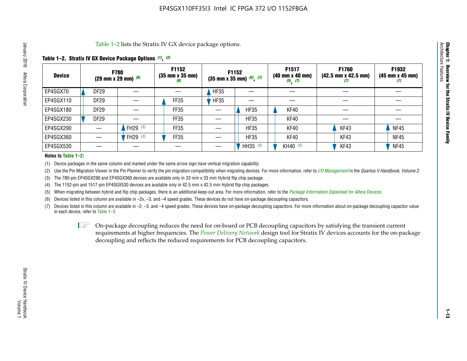Table 1–2 lists the Stratix IV GX device package options.

#### **Table 1–2. Stratix IV GX Device Package Options** *(1)***,** *(2)*

| <b>Device</b> |                  | <b>F780</b><br>(29 mm x 29 mm) $(6)$ | F1152<br>$(35 \, \text{mm} \times 35 \, \text{mm})$<br>(6) |             | <b>F1152</b><br>$(35 \text{ mm} \times 35 \text{ mm})$ $(5)$ , $(7)$ | F1517<br>(40 mm x 40 mm)<br>$(5)$ $(7)$ | <b>F1760</b><br>$(42.5 \text{ mm} \times 42.5 \text{ mm})$<br>Ø | F1932<br>$(45 \, \text{mm} \times 45 \, \text{mm})$<br>(7) |
|---------------|------------------|--------------------------------------|------------------------------------------------------------|-------------|----------------------------------------------------------------------|-----------------------------------------|-----------------------------------------------------------------|------------------------------------------------------------|
| EP4SGX70      | <b>DF29</b>      |                                      |                                                            | <b>HF35</b> |                                                                      |                                         |                                                                 |                                                            |
| EP4SGX110     | <b>DF29</b>      |                                      | FF35                                                       | <b>HF35</b> |                                                                      |                                         |                                                                 |                                                            |
| EP4SGX180     | DF <sub>29</sub> |                                      | FF35                                                       |             | <b>HF35</b>                                                          | KF40                                    |                                                                 |                                                            |
| EP4SGX230     | DF <sub>29</sub> |                                      | FF35                                                       |             | <b>HF35</b>                                                          | KF40                                    |                                                                 |                                                            |
| EP4SGX290     |                  | FH29 $(3)$                           | FF35                                                       |             | <b>HF35</b>                                                          | KF40                                    | KF43                                                            | <b>NF45</b>                                                |
| EP4SGX360     |                  | FH29 (3)                             | FF35                                                       |             | <b>HF35</b>                                                          | KF40                                    | KF43                                                            | <b>NF45</b>                                                |
| EP4SGX530     |                  |                                      |                                                            |             | HH35 (4)                                                             | KH40 (4)                                | KF43                                                            | <b>NF45</b>                                                |

#### **Notes to Table 1–2:**

(1) Device packages in the same column and marked under the same arrow sign have vertical migration capability.

(2) Use the Pin Migration Viewer in the Pin Planner to verify the pin migration compatibility when migrating devices. For more information, refer to *[I/O Management](http://www.altera.com/literature/hb/qts/qts_qii52013.pdf)* in the *Quartus II Handbook, Volume 2*.

(3) The 780-pin EP4SGX290 and EP4SGX360 devices are available only in 33 mm x 33 mm Hybrid flip chip package.

(4) The 1152-pin and 1517-pin EP4SGX530 devices are available only in 42.5 mm x 42.5 mm Hybrid flip chip packages.

(5) When migrating between hybrid and flip chip packages, there is an additional keep-out area. For more information, refer to the *[Package Information Datasheet for Altera Devices](http://www.altera.com/literature/ds/dspkg.pdf)*.

(6) Devices listed in this column are available in –2x, –3, and –4 speed grades. These devices do not have on-package decoupling capacitors.

(7) Devices listed in this column are available in –2, –3, and –4 speed grades. These devices have on-package decoupling capacitors. For more information about on-package decoupling capacitor value in each device, refer to Table 1–3.

 $\mathbb{L}$ s On-package decoupling reduces the need for on-board or PCB decoupling capacitors by satisfying the transient current requirements at higher frequencies. The *[Power Delivery Network](http://www.altera.com/literature/ug/pdn_tool_stxiv.zip)* design tool for Stratix IV devices accounts for the on-package decoupling and reflects the reduced requirements for PCB decoupling capacitors.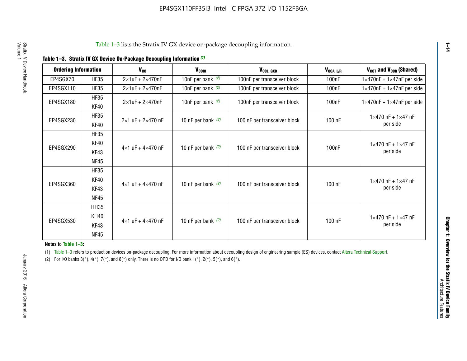| <b>Ordering Information</b> |                     | <b>V<sub>cc</sub></b>               | V <sub>ccio</sub>    | V <sub>CCL GXB</sub>         | V <sub>CCA_L/R</sub> | V <sub>CCT</sub> and V <sub>CCR</sub> (Shared)   |
|-----------------------------|---------------------|-------------------------------------|----------------------|------------------------------|----------------------|--------------------------------------------------|
| EP4SGX70                    | <b>HF35</b>         | $2\times1$ uF + $2\times470$ nF     | 10nF per bank $(2)$  | 100nF per transceiver block  | 100 <sub>n</sub> F   | $1 \times 470$ nF + $1 \times 47$ nF per side    |
| EP4SGX110                   | <b>HF35</b>         | $2\times1$ uF + $2\times470$ nF     | 10nF per bank $(2)$  | 100nF per transceiver block  | 100 <sub>n</sub> F   | $1\times470$ nF + $1\times47$ nF per side        |
| EP4SGX180                   | <b>HF35</b><br>KF40 | $2\times1$ uF + $2\times470$ nF     | 10nF per bank $(2)$  | 100nF per transceiver block  | 100 <sub>n</sub> F   | $1 \times 470$ nF + $1 \times 47$ nF per side    |
| EP4SGX230                   | <b>HF35</b><br>KF40 | $2 \times 1$ uF + $2 \times 470$ nF | 10 nF per bank $(2)$ | 100 nF per transceiver block | 100 nF               | $1 \times 470$ nF + $1 \times 47$ nF<br>per side |
|                             | <b>HF35</b><br>KF40 |                                     |                      |                              |                      | $1 \times 470$ nF + $1 \times 47$ nF             |
| EP4SGX290                   | KF43<br><b>NF45</b> | $4 \times 1$ uF + $4 \times 470$ nF | 10 nF per bank $(2)$ | 100 nF per transceiver block | 100nF                | per side                                         |
|                             | <b>HF35</b><br>KF40 |                                     |                      |                              |                      | $1 \times 470$ nF + $1 \times 47$ nF             |
| EP4SGX360                   | KF43<br><b>NF45</b> | $4 \times 1$ uF + $4 \times 470$ nF | 10 nF per bank $(2)$ | 100 nF per transceiver block | 100 nF               | per side                                         |
|                             | <b>HH35</b>         |                                     |                      |                              |                      |                                                  |
| EP4SGX530                   | <b>KH40</b><br>KF43 | $4 \times 1$ uF + $4 \times 470$ nF | 10 nF per bank $(2)$ | 100 nF per transceiver block | 100 nF               | $1 \times 470$ nF + $1 \times 47$ nF<br>per side |
|                             | <b>NF45</b>         |                                     |                      |                              |                      |                                                  |

**Notes to Table 1–3:**

(1) Table 1-3 refers to production devices on-package decoupling. For more information about decoupling design of engineering sample (ES) devices, contact [Altera Technical Support](http://mysupport.altera.com/eservice/login.asp).

(2) For I/O banks  $3(*)$ ,  $4(*)$ ,  $7(*)$ , and  $8(*)$  only. There is no OPD for I/O bank  $1(*)$ ,  $2(*)$ ,  $5(*)$ , and  $6(*)$ .

**1–14**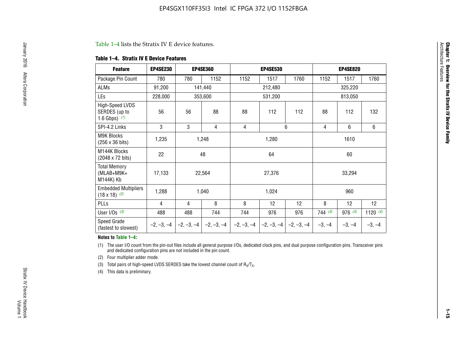#### Table 1–4 lists the Stratix IV E device features.

#### **Table 1–4. Stratix IV E Device Features**

| <b>Feature</b>                                      | <b>EP4SE230</b> |     | <b>EP4SE360</b>                          |              | <b>EP4SE530</b> |              |          | <b>EP4SE820</b> |            |
|-----------------------------------------------------|-----------------|-----|------------------------------------------|--------------|-----------------|--------------|----------|-----------------|------------|
| Package Pin Count                                   | 780             | 780 | 1152                                     | 1152         | 1517            | 1760         | 1152     | 1517            | 1760       |
| ALMs                                                | 91,200          |     | 141,440                                  |              | 212,480         |              |          | 325,220         |            |
| LEs                                                 | 228,000         |     | 353,600                                  |              | 531,200         |              |          | 813,050         |            |
| High-Speed LVDS<br>SERDES (up to<br>1.6 Gbps) $(1)$ | 56              | 56  | 88                                       | 88           | 112             | 112          | 88       | 112             | 132        |
| SPI-4.2 Links                                       | 3               | 3   | 4                                        | 4            |                 | 6            | 4        | 6               | 6          |
| <b>M9K Blocks</b><br>(256 x 36 bits)                | 1,235           |     | 1,248                                    |              | 1,280           |              |          | 1610            |            |
| M144K Blocks<br>(2048 x 72 bits)                    | 22              |     | 48                                       |              | 64              |              |          | 60              |            |
| <b>Total Memory</b><br>$(MLAB+M9K+$<br>M144K) Kb    | 17,133          |     | 22,564                                   |              | 27,376          |              |          | 33,294          |            |
| <b>Embedded Multipliers</b><br>$(18 \times 18)$ (2) | 1,288           |     | 1,040                                    |              | 1,024           |              |          | 960             |            |
| PLLs                                                | 4               | 4   | 8                                        | 8            | 12              | 12           | 8        | 12              | 12         |
| User I/Os $(3)$                                     | 488             | 488 | 744                                      | 744          | 976             | 976          | 744 (4)  | 976 (4)         | 1120 $(4)$ |
| Speed Grade<br>(fastest to slowest)                 |                 |     | $-2, -3, -4$ $ -2, -3, -4$ $ -2, -3, -4$ | $-2, -3, -4$ | $-2, -3, -4$    | $-2, -3, -4$ | $-3, -4$ | $-3, -4$        | $-3, -4$   |

#### **Notes to Table 1–4:**

(1) The user I/O count from the pin-out files include all general purpose I/Os, dedicated clock pins, and dual purpose configuration pins. Transceiver pins and dedicated configuration pins are not included in the pin count.

(2) Four multiplier adder mode.

(3) Total pairs of high-speed LVDS SERDES take the lowest channel count of  $R_X/T_X$ .

(4) This data is preliminary.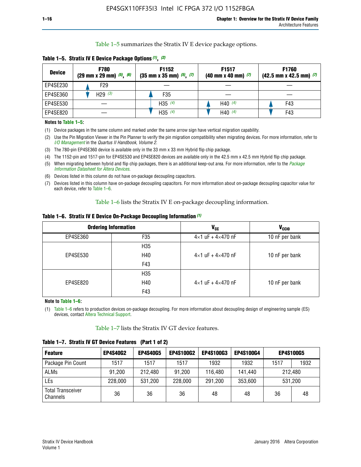Table 1–5 summarizes the Stratix IV E device package options.

| <b>Device</b> | <b>F780</b><br>$(29 \text{ mm} \times 29 \text{ mm})$ $(5)$ , $(6)$ | F1152<br>$(35 \text{ mm} \times 35 \text{ mm})$ $(5)$ , $(7)$ | F <sub>1517</sub><br>$(40 \text{ mm} \times 40 \text{ mm})$ (7) | <b>F1760</b><br>$(42.5$ mm x 42.5 mm) $(7)$ |
|---------------|---------------------------------------------------------------------|---------------------------------------------------------------|-----------------------------------------------------------------|---------------------------------------------|
| EP4SE230      | F29                                                                 |                                                               |                                                                 |                                             |
| EP4SE360      | H <sub>29</sub> $(3)$                                               | F35                                                           |                                                                 |                                             |
| EP4SE530      |                                                                     | H35 $(4)$                                                     | H40 $(4)$                                                       | F43                                         |
| EP4SE820      |                                                                     | H35 $(4)$                                                     | H40 $(4)$                                                       | F43                                         |

**Table 1–5. Stratix IV E Device Package Options** *(1)***,** *(2)*

#### **Notes to Table 1–5:**

(1) Device packages in the same column and marked under the same arrow sign have vertical migration capability.

(2) Use the Pin Migration Viewer in the Pin Planner to verify the pin migration compatibility when migrating devices. For more information, refer to *[I/O Management](http://www.altera.com/literature/hb/qts/qts_qii52013.pdf)* in the *Quartus II Handbook, Volume 2*.

(3) The 780-pin EP4SE360 device is available only in the 33 mm x 33 mm Hybrid flip chip package.

(4) The 1152-pin and 1517-pin for EP4SE530 and EP4SE820 devices are available only in the 42.5 mm x 42.5 mm Hybrid flip chip package.

(5) When migrating between hybrid and flip chip packages, there is an additional keep-out area. For more information, refer to the *[Package](http://www.altera.com/literature/ds/dspkg.pdf)  [Information Datasheet for Altera Devices](http://www.altera.com/literature/ds/dspkg.pdf)*.

(6) Devices listed in this column do not have on-package decoupling capacitors.

(7) Devices listed in this column have on-package decoupling capacitors. For more information about on-package decoupling capacitor value for each device, refer to Table 1–6.

Table 1–6 lists the Stratix IV E on-package decoupling information.

| Table 1–6. Stratix IV E Device On-Package Decoupling Information (1) |  |  |  |  |
|----------------------------------------------------------------------|--|--|--|--|
|----------------------------------------------------------------------|--|--|--|--|

|          | <b>Ordering Information</b> | <b>V<sub>cc</sub></b>               | <b>V<sub>CCIO</sub></b> |
|----------|-----------------------------|-------------------------------------|-------------------------|
| EP4SE360 | F <sub>35</sub>             | $4 \times 1$ uF + $4 \times 470$ nF | 10 nF per bank          |
|          | H <sub>35</sub>             |                                     |                         |
| EP4SE530 | H40                         | $4 \times 1$ uF + $4 \times 470$ nF | 10 nF per bank          |
|          | F43                         |                                     |                         |
|          | H <sub>35</sub>             |                                     |                         |
| EP4SE820 | H40                         | $4 \times 1$ uF + $4 \times 470$ nF | 10 nF per bank          |
|          | F43                         |                                     |                         |

**Note to Table 1–6:**

(1) Table 1–6 refers to production devices on-package decoupling. For more information about decoupling design of engineering sample (ES) devices, contact [Altera Technical Support](http://mysupport.altera.com/eservice/login.asp).

Table 1–7 lists the Stratix IV GT device features.

| <b>Feature</b>                       | <b>EP4S40G2</b> | <b>EP4S40G5</b> | <b>EP4S100G2</b> | <b>EP4S100G3</b> | <b>EP4S100G4</b> |         | <b>EP4S100G5</b> |
|--------------------------------------|-----------------|-----------------|------------------|------------------|------------------|---------|------------------|
| Package Pin Count                    | 1517            | 1517            | 1517             | 1932             | 1932             | 1517    | 1932             |
| <b>ALMs</b>                          | 91,200          | 212,480         | 91,200           | 116,480          | 141,440          | 212.480 |                  |
| LEs                                  | 228,000         | 531,200         | 228,000          | 291,200          | 353,600          |         | 531,200          |
| <b>Total Transceiver</b><br>Channels | 36              | 36              | 36               | 48               | 48               | 36      | 48               |

**Table 1–7. Stratix IV GT Device Features (Part 1 of 2)**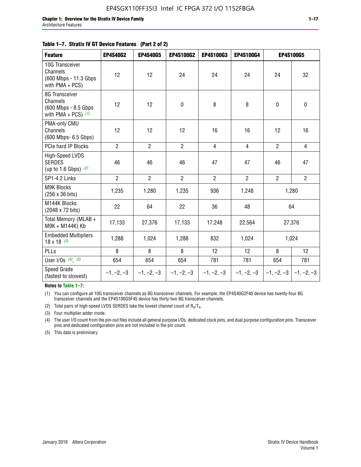#### **Table 1–7. Stratix IV GT Device Features (Part 2 of 2)**

| <b>Feature</b>                                                               | <b>EP4S40G2</b> | <b>EP4S40G5</b> | <b>EP4S100G2</b> | <b>EP4S100G3</b> | EP4S100G4      |                           | <b>EP4S100G5</b> |
|------------------------------------------------------------------------------|-----------------|-----------------|------------------|------------------|----------------|---------------------------|------------------|
| 10G Transceiver<br>Channels<br>(600 Mbps - 11.3 Gbps<br>with $PMA + PCS$ )   | 12              | 12              | 24               | 24               | 24             | 24                        | 32               |
| 8G Transceiver<br>Channels<br>(600 Mbps - 8.5 Gbps)<br>with PMA + PCS) $(1)$ | 12              | 12              | $\pmb{0}$        | 8                | 8              | $\mathbf 0$               | $\mathbf 0$      |
| PMA-only CMU<br>Channels<br>(600 Mbps- 6.5 Gbps)                             | 12              | 12              | 12               | 16               | 16             | 12                        | 16               |
| PCIe hard IP Blocks                                                          | $\overline{2}$  | $\overline{2}$  | $\overline{2}$   | $\overline{4}$   | $\overline{4}$ | $\overline{2}$            | $\overline{4}$   |
| <b>High-Speed LVDS</b><br><b>SERDES</b><br>(up to 1.6 Gbps) $(2)$            | 46              | 46              | 46               | 47               | 47             | 46                        | 47               |
| SP1-4.2 Links                                                                | $\overline{2}$  | $\overline{2}$  | $\overline{2}$   | $\overline{2}$   | $\overline{2}$ | $\overline{2}$            | $\overline{2}$   |
| <b>M9K Blocks</b><br>(256 x 36 bits)                                         | 1,235           | 1,280           | 1,235            | 936              | 1,248          |                           | 1,280            |
| M144K Blocks<br>(2048 x 72 bits)                                             | 22              | 64              | 22               | 36               | 48             |                           | 64               |
| Total Memory (MLAB +<br>M9K + M144K) Kb                                      | 17,133          | 27,376          | 17,133           | 17,248           | 22,564         |                           | 27,376           |
| <b>Embedded Multipliers</b><br>$18 \times 18^{(3)}$                          | 1,288           | 1,024           | 1,288            | 832              | 1,024          |                           | 1,024            |
| PLLs                                                                         | 8               | 8               | 8                | 12               | 12             | 8                         | 12               |
| User I/Os $(4)$ , $(5)$                                                      | 654             | 654             | 654              | 781              | 781            | 654                       | 781              |
| Speed Grade<br>(fastest to slowest)                                          | $-1, -2, -3$    | $-1, -2, -3$    | $-1, -2, -3$     | $-1, -2, -3$     | $-1, -2, -3$   | $-1, -2, -3$ $-1, -2, -3$ |                  |

**Notes to Table 1–7:**

(1) You can configure all 10G transceiver channels as 8G transceiver channels. For example, the EP4S40G2F40 device has twenty-four 8G transceiver channels and the EP4S100G5F45 device has thirty-two 8G transceiver channels.

(2) Total pairs of high-speed LVDS SERDES take the lowest channel count of  $R_X/T_X$ .

(3) Four multiplier adder mode.

(4) The user I/O count from the pin-out files include all general purpose I/Os, dedicated clock pins, and dual purpose configuration pins. Transceiver pins and dedicated configuration pins are not included in the pin count.

(5) This data is preliminary.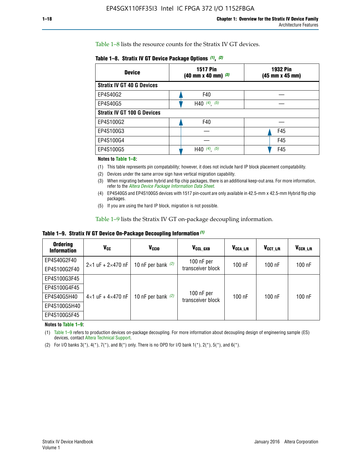Table 1–8 lists the resource counts for the Stratix IV GT devices.

| <b>Device</b>                      | <b>1517 Pin</b><br><b>1932 Pin</b><br>$(40 \text{ mm} \times 40 \text{ mm})$ (3)<br>(45 mm x 45 mm) |     |  |
|------------------------------------|-----------------------------------------------------------------------------------------------------|-----|--|
| <b>Stratix IV GT 40 G Devices</b>  |                                                                                                     |     |  |
| EP4S40G2                           | F40                                                                                                 |     |  |
| EP4S40G5                           | H40 $(4)$ , $(5)$                                                                                   |     |  |
| <b>Stratix IV GT 100 G Devices</b> |                                                                                                     |     |  |
| EP4S100G2                          | F40                                                                                                 |     |  |
| EP4S100G3                          |                                                                                                     | F45 |  |
| EP4S100G4                          |                                                                                                     | F45 |  |
| EP4S100G5                          | $(4)$ $(5)$<br>H40                                                                                  | F45 |  |

#### **Notes to Table 1–8:**

(1) This table represents pin compatability; however, it does not include hard IP block placement compatability.

- (2) Devices under the same arrow sign have vertical migration capability.
- (3) When migrating between hybrid and flip chip packages, there is an additional keep-out area. For more information, refer to the *[Altera Device Package Information Data Sheet](http://www.altera.com/literature/ds/dspkg.pdf)*.
- (4) EP4S40G5 and EP4S100G5 devices with 1517 pin-count are only available in 42.5-mm x 42.5-mm Hybrid flip chip packages.
- (5) If you are using the hard IP block, migration is not possible.

Table 1–9 lists the Stratix IV GT on-package decoupling information.

**Table 1–9. Stratix IV GT Device On-Package Decoupling Information** *(1)*

| <b>Ordering</b><br><b>Information</b> | Vcc                                 | <b>V<sub>CCIO</sub></b> | V <sub>CCL GXB</sub>            | V <sub>CCA L/R</sub> | V <sub>CCT L/R</sub> | $V_{CCR\_L/R}$ |
|---------------------------------------|-------------------------------------|-------------------------|---------------------------------|----------------------|----------------------|----------------|
| EP4S40G2F40                           | $2 \times 1$ uF + $2 \times 470$ nF | 10 nF per bank $(2)$    | 100 nF per<br>transceiver block | $100$ nF             | $100$ nF             | 100 nF         |
| EP4S100G2F40                          |                                     |                         |                                 |                      |                      |                |
| EP4S100G3F45                          |                                     | 10 nF per bank $(2)$    | 100 nF per<br>transceiver block | $100$ nF             | $100$ nF             | $100$ nF       |
| EP4S100G4F45                          |                                     |                         |                                 |                      |                      |                |
| EP4S40G5H40                           | $4\times1$ uF + $4\times470$ nF     |                         |                                 |                      |                      |                |
| EP4S100G5H40                          |                                     |                         |                                 |                      |                      |                |
| EP4S100G5F45                          |                                     |                         |                                 |                      |                      |                |

**Notes to Table 1–9:**

(1) Table 1–9 refers to production devices on-package decoupling. For more information about decoupling design of engineering sample (ES) devices, contact [Altera Technical Support](http://mysupport.altera.com/eservice/login.asp).

(2) For I/O banks  $3(*)$ ,  $4(*)$ ,  $7(*)$ , and  $8(*)$  only. There is no OPD for I/O bank  $1(*)$ ,  $2(*)$ ,  $5(*)$ , and  $6(*)$ .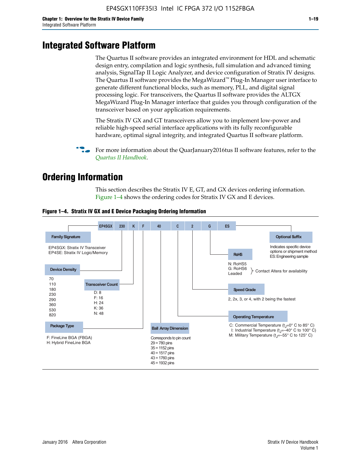# **Integrated Software Platform**

The Quartus II software provides an integrated environment for HDL and schematic design entry, compilation and logic synthesis, full simulation and advanced timing analysis, SignalTap II Logic Analyzer, and device configuration of Stratix IV designs. The Quartus II software provides the MegaWizard<sup> $M$ </sup> Plug-In Manager user interface to generate different functional blocks, such as memory, PLL, and digital signal processing logic. For transceivers, the Quartus II software provides the ALTGX MegaWizard Plug-In Manager interface that guides you through configuration of the transceiver based on your application requirements.

The Stratix IV GX and GT transceivers allow you to implement low-power and reliable high-speed serial interface applications with its fully reconfigurable hardware, optimal signal integrity, and integrated Quartus II software platform.

For more information about the QuarJanuary2016tus II software features, refer to the *[Quartus II Handbook](http://www.altera.com/literature/lit-qts.jsp)*.

# **Ordering Information**

This section describes the Stratix IV E, GT, and GX devices ordering information. Figure 1–4 shows the ordering codes for Stratix IV GX and E devices.



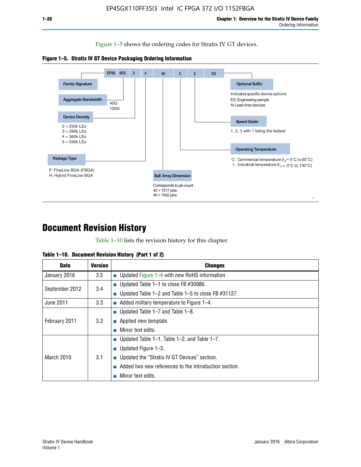Figure 1–5 shows the ordering codes for Stratix IV GT devices.





# **Document Revision History**

Table 1–10 lists the revision history for this chapter.

| Table 1–10. Document Revision History (Part 1 of 2) |  |  |  |  |  |
|-----------------------------------------------------|--|--|--|--|--|
|-----------------------------------------------------|--|--|--|--|--|

| <b>Date</b>       | <b>Version</b> | <b>Changes</b>                                           |
|-------------------|----------------|----------------------------------------------------------|
| January 2016      | 3.5            | ■ Updated Figure $1-4$ with new RoHS information         |
| September 2012    | 3.4            | ■ Updated Table 1–1 to close FB $#30986$ .               |
|                   |                | ■ Updated Table 1–2 and Table 1–5 to close FB $#31127$ . |
| June 2011         | 3.3            | $\blacksquare$ Added military temperature to Figure 1–4. |
| February 2011     | 3.2            | ■ Updated Table $1-7$ and Table $1-8$ .                  |
|                   |                | $\blacksquare$ Applied new template.                     |
|                   |                | Minor text edits.                                        |
| <b>March 2010</b> |                | ■ Updated Table 1–1, Table 1–2, and Table 1–7.           |
|                   | 3.1            | ■ Updated Figure $1-3$ .                                 |
|                   |                | ■ Updated the "Stratix IV GT Devices" section.           |
|                   |                | Added two new references to the Introduction section.    |
|                   |                | Minor text edits.                                        |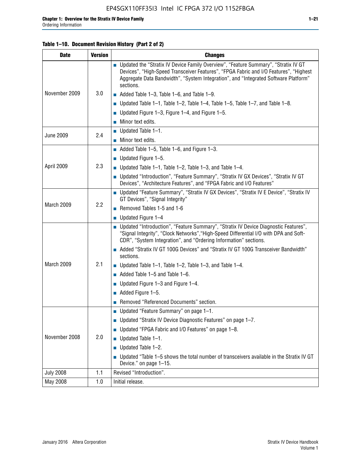### **Table 1–10. Document Revision History (Part 2 of 2)**

| <b>Date</b>      | <b>Version</b> | <b>Changes</b>                                                                                                                                                                                                                                                                    |  |  |
|------------------|----------------|-----------------------------------------------------------------------------------------------------------------------------------------------------------------------------------------------------------------------------------------------------------------------------------|--|--|
|                  |                | ■ Updated the "Stratix IV Device Family Overview", "Feature Summary", "Stratix IV GT<br>Devices", "High-Speed Transceiver Features", "FPGA Fabric and I/O Features", "Highest<br>Aggregate Data Bandwidth", "System Integration", and "Integrated Software Platform"<br>sections. |  |  |
| November 2009    | 3.0            | $\blacksquare$ Added Table 1-3, Table 1-6, and Table 1-9.                                                                                                                                                                                                                         |  |  |
|                  |                | $\blacksquare$ Updated Table 1-1, Table 1-2, Table 1-4, Table 1-5, Table 1-7, and Table 1-8.                                                                                                                                                                                      |  |  |
|                  |                | ■ Updated Figure 1–3, Figure 1–4, and Figure 1–5.                                                                                                                                                                                                                                 |  |  |
|                  |                | $\blacksquare$ Minor text edits.                                                                                                                                                                                                                                                  |  |  |
|                  | 2.4            | $\blacksquare$ Updated Table 1-1.                                                                                                                                                                                                                                                 |  |  |
| <b>June 2009</b> |                | Minor text edits.                                                                                                                                                                                                                                                                 |  |  |
|                  |                | $\blacksquare$ Added Table 1–5, Table 1–6, and Figure 1–3.                                                                                                                                                                                                                        |  |  |
|                  |                | $\blacksquare$ Updated Figure 1-5.                                                                                                                                                                                                                                                |  |  |
| April 2009       | 2.3            | Updated Table $1-1$ , Table $1-2$ , Table $1-3$ , and Table $1-4$ .                                                                                                                                                                                                               |  |  |
|                  |                | ■ Updated "Introduction", "Feature Summary", "Stratix IV GX Devices", "Stratix IV GT<br>Devices", "Architecture Features", and "FPGA Fabric and I/O Features"                                                                                                                     |  |  |
|                  | 2.2            | ■ Updated "Feature Summary", "Stratix IV GX Devices", "Stratix IV E Device", "Stratix IV<br>GT Devices", "Signal Integrity"                                                                                                                                                       |  |  |
| March 2009       |                | Removed Tables 1-5 and 1-6                                                                                                                                                                                                                                                        |  |  |
|                  |                | Updated Figure 1-4                                                                                                                                                                                                                                                                |  |  |
|                  |                | ■ Updated "Introduction", "Feature Summary", "Stratix IV Device Diagnostic Features",<br>"Signal Integrity", "Clock Networks", "High-Speed Differential I/O with DPA and Soft-<br>CDR", "System Integration", and "Ordering Information" sections.                                |  |  |
|                  |                | Added "Stratix IV GT 100G Devices" and "Stratix IV GT 100G Transceiver Bandwidth"<br>sections.                                                                                                                                                                                    |  |  |
| March 2009       | 2.1            | <b>Updated Table 1–1, Table 1–2, Table 1–3, and Table 1–4.</b>                                                                                                                                                                                                                    |  |  |
|                  |                | $\blacksquare$ Added Table 1-5 and Table 1-6.                                                                                                                                                                                                                                     |  |  |
|                  |                | ■ Updated Figure $1-3$ and Figure $1-4$ .                                                                                                                                                                                                                                         |  |  |
|                  |                | $\blacksquare$ Added Figure 1-5.                                                                                                                                                                                                                                                  |  |  |
|                  |                | Removed "Referenced Documents" section.                                                                                                                                                                                                                                           |  |  |
|                  |                | Updated "Feature Summary" on page 1-1.                                                                                                                                                                                                                                            |  |  |
|                  | 2.0            | ■ Updated "Stratix IV Device Diagnostic Features" on page 1-7.                                                                                                                                                                                                                    |  |  |
| November 2008    |                | Updated "FPGA Fabric and I/O Features" on page 1-8.                                                                                                                                                                                                                               |  |  |
|                  |                | $\blacksquare$ Updated Table 1-1.                                                                                                                                                                                                                                                 |  |  |
|                  |                | Updated Table 1-2.                                                                                                                                                                                                                                                                |  |  |
|                  |                | Updated "Table 1-5 shows the total number of transceivers available in the Stratix IV GT<br>Device." on page 1-15.                                                                                                                                                                |  |  |
| <b>July 2008</b> | 1.1            | Revised "Introduction".                                                                                                                                                                                                                                                           |  |  |
| May 2008         | 1.0            | Initial release.                                                                                                                                                                                                                                                                  |  |  |